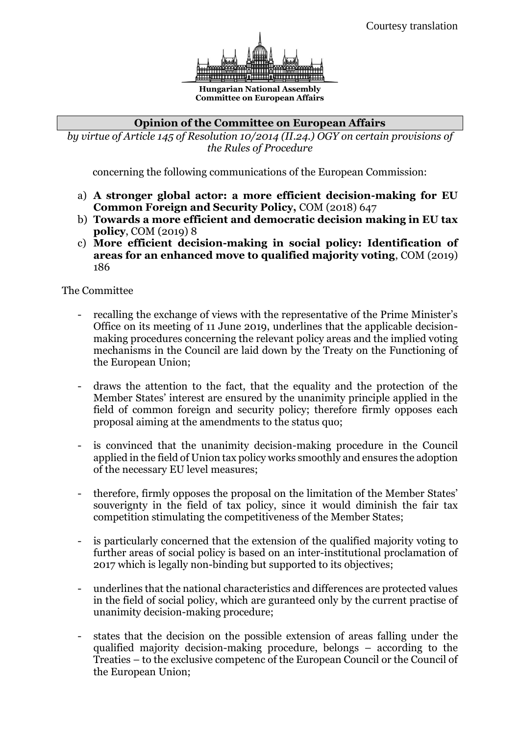

**Hungarian National Assembly Committee on European Affairs**

## **Opinion of the Committee on European Affairs**

*by virtue of Article 145 of Resolution 10/2014 (II.24.) OGY on certain provisions of the Rules of Procedure*

concerning the following communications of the European Commission:

- a) **A stronger global actor: a more efficient decision-making for EU Common Foreign and Security Policy,** COM (2018) 647
- b) **Towards a more efficient and democratic decision making in EU tax policy**, COM (2019) 8
- c) **More efficient decision-making in social policy: Identification of areas for an enhanced move to qualified majority voting**, COM (2019) 186

The Committee

- recalling the exchange of views with the representative of the Prime Minister's Office on its meeting of 11 June 2019, underlines that the applicable decisionmaking procedures concerning the relevant policy areas and the implied voting mechanisms in the Council are laid down by the Treaty on the Functioning of the European Union;
- draws the attention to the fact, that the equality and the protection of the Member States' interest are ensured by the unanimity principle applied in the field of common foreign and security policy; therefore firmly opposes each proposal aiming at the amendments to the status quo;
- is convinced that the unanimity decision-making procedure in the Council applied in the field of Union tax policy works smoothly and ensures the adoption of the necessary EU level measures;
- therefore, firmly opposes the proposal on the limitation of the Member States' souverignty in the field of tax policy, since it would diminish the fair tax competition stimulating the competitiveness of the Member States;
- is particularly concerned that the extension of the qualified majority voting to further areas of social policy is based on an inter-institutional proclamation of 2017 which is legally non-binding but supported to its objectives;
- underlines that the national characteristics and differences are protected values in the field of social policy, which are guranteed only by the current practise of unanimity decision-making procedure;
- states that the decision on the possible extension of areas falling under the qualified majority decision-making procedure, belongs – according to the Treaties – to the exclusive competenc of the European Council or the Council of the European Union;